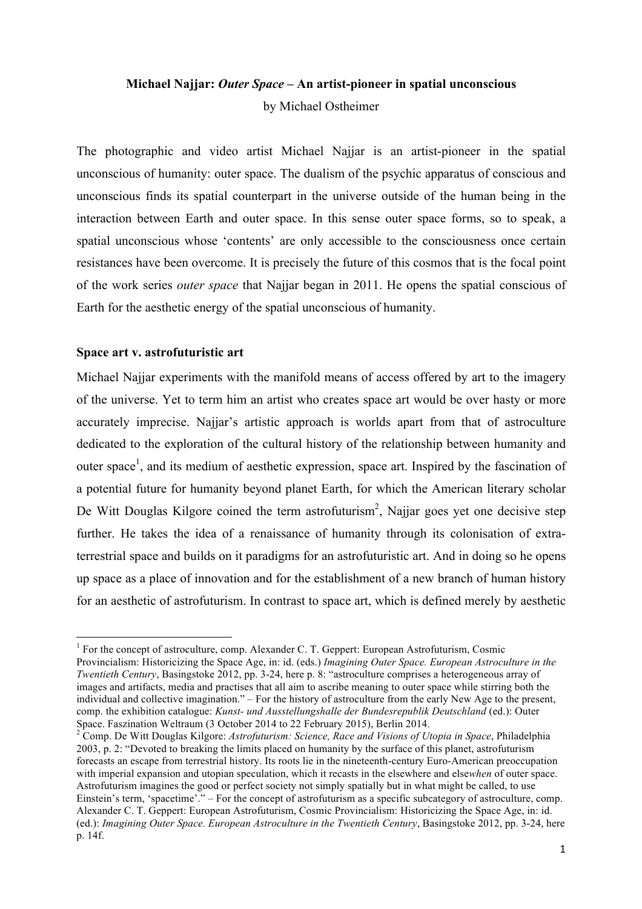# **Michael Najjar:** *Outer Space* **– An artist-pioneer in spatial unconscious** by Michael Ostheimer

The photographic and video artist Michael Najjar is an artist-pioneer in the spatial unconscious of humanity: outer space. The dualism of the psychic apparatus of conscious and unconscious finds its spatial counterpart in the universe outside of the human being in the interaction between Earth and outer space. In this sense outer space forms, so to speak, a spatial unconscious whose 'contents' are only accessible to the consciousness once certain resistances have been overcome. It is precisely the future of this cosmos that is the focal point of the work series *outer space* that Najjar began in 2011. He opens the spatial conscious of Earth for the aesthetic energy of the spatial unconscious of humanity.

# **Space art v. astrofuturistic art**

<u> 1989 - Jan Samuel Barbara, margaret e</u>

Michael Najjar experiments with the manifold means of access offered by art to the imagery of the universe. Yet to term him an artist who creates space art would be over hasty or more accurately imprecise. Najjar's artistic approach is worlds apart from that of astroculture dedicated to the exploration of the cultural history of the relationship between humanity and outer space<sup>1</sup>, and its medium of aesthetic expression, space art. Inspired by the fascination of a potential future for humanity beyond planet Earth, for which the American literary scholar De Witt Douglas Kilgore coined the term astrofuturism<sup>2</sup>, Najjar goes yet one decisive step further. He takes the idea of a renaissance of humanity through its colonisation of extraterrestrial space and builds on it paradigms for an astrofuturistic art. And in doing so he opens up space as a place of innovation and for the establishment of a new branch of human history for an aesthetic of astrofuturism. In contrast to space art, which is defined merely by aesthetic

<sup>&</sup>lt;sup>1</sup> For the concept of astroculture, comp. Alexander C. T. Geppert: European Astrofuturism, Cosmic Provincialism: Historicizing the Space Age, in: id. (eds.) *Imagining Outer Space. European Astroculture in the Twentieth Century*, Basingstoke 2012, pp. 3-24, here p. 8: "astroculture comprises a heterogeneous array of images and artifacts, media and practises that all aim to ascribe meaning to outer space while stirring both the individual and collective imagination." – For the history of astroculture from the early New Age to the present, comp. the exhibition catalogue: *Kunst- und Ausstellungshalle der Bundesrepublik Deutschland* (ed.): Outer Space. Faszination Weltraum (3 October 2014 to 22 February 2015), Berlin 2014.<br><sup>2</sup> Comp. De Witt Douglas Kilgore: *Astrofuturism: Science, Race and Visions of Utopia in Space*, Philadelphia

<sup>2003,</sup> p. 2: "Devoted to breaking the limits placed on humanity by the surface of this planet, astrofuturism forecasts an escape from terrestrial history. Its roots lie in the nineteenth-century Euro-American preoccupation with imperial expansion and utopian speculation, which it recasts in the elsewhere and else*when* of outer space. Astrofuturism imagines the good or perfect society not simply spatially but in what might be called, to use Einstein's term, 'spacetime'." – For the concept of astrofuturism as a specific subcategory of astroculture, comp. Alexander C. T. Geppert: European Astrofuturism, Cosmic Provincialism: Historicizing the Space Age, in: id. (ed.): *Imagining Outer Space. European Astroculture in the Twentieth Century*, Basingstoke 2012, pp. 3-24, here p. 14f.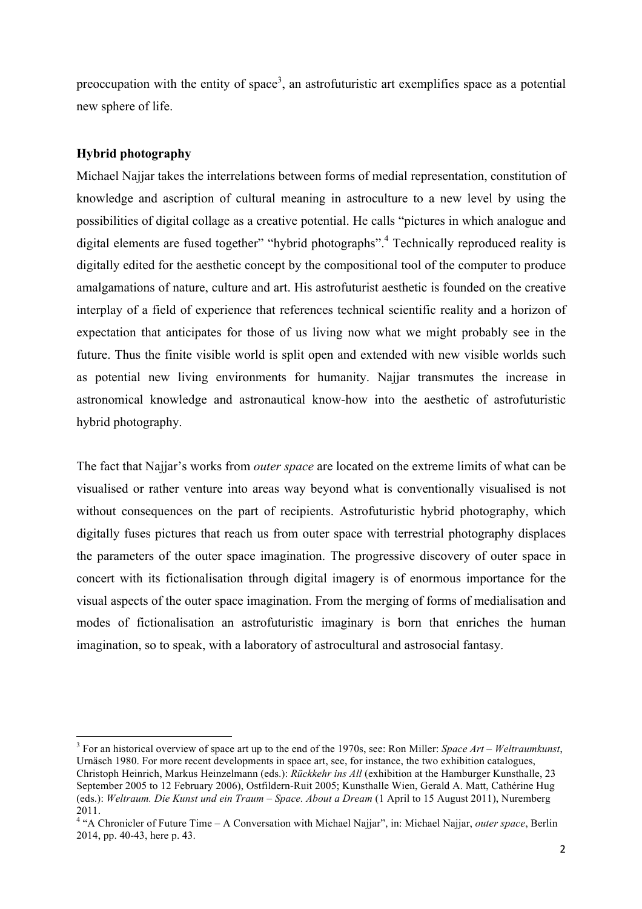preoccupation with the entity of space<sup>3</sup>, an astrofuturistic art exemplifies space as a potential new sphere of life.

# **Hybrid photography**

<u> 1989 - Jan Samuel Barbara, margaret e</u>

Michael Najjar takes the interrelations between forms of medial representation, constitution of knowledge and ascription of cultural meaning in astroculture to a new level by using the possibilities of digital collage as a creative potential. He calls "pictures in which analogue and digital elements are fused together" "hybrid photographs".<sup>4</sup> Technically reproduced reality is digitally edited for the aesthetic concept by the compositional tool of the computer to produce amalgamations of nature, culture and art. His astrofuturist aesthetic is founded on the creative interplay of a field of experience that references technical scientific reality and a horizon of expectation that anticipates for those of us living now what we might probably see in the future. Thus the finite visible world is split open and extended with new visible worlds such as potential new living environments for humanity. Najjar transmutes the increase in astronomical knowledge and astronautical know-how into the aesthetic of astrofuturistic hybrid photography.

The fact that Najjar's works from *outer space* are located on the extreme limits of what can be visualised or rather venture into areas way beyond what is conventionally visualised is not without consequences on the part of recipients. Astrofuturistic hybrid photography, which digitally fuses pictures that reach us from outer space with terrestrial photography displaces the parameters of the outer space imagination. The progressive discovery of outer space in concert with its fictionalisation through digital imagery is of enormous importance for the visual aspects of the outer space imagination. From the merging of forms of medialisation and modes of fictionalisation an astrofuturistic imaginary is born that enriches the human imagination, so to speak, with a laboratory of astrocultural and astrosocial fantasy.

<sup>3</sup> For an historical overview of space art up to the end of the 1970s, see: Ron Miller: *Space Art – Weltraumkunst*, Urnäsch 1980. For more recent developments in space art, see, for instance, the two exhibition catalogues, Christoph Heinrich, Markus Heinzelmann (eds.): *Rückkehr ins All* (exhibition at the Hamburger Kunsthalle, 23 September 2005 to 12 February 2006), Ostfildern-Ruit 2005; Kunsthalle Wien, Gerald A. Matt, Cathérine Hug (eds.): *Weltraum. Die Kunst und ein Traum – Space. About a Dream* (1 April to 15 August 2011), Nuremberg 2011.

<sup>4</sup> "A Chronicler of Future Time – A Conversation with Michael Najjar", in: Michael Najjar, *outer space*, Berlin 2014, pp. 40-43, here p. 43.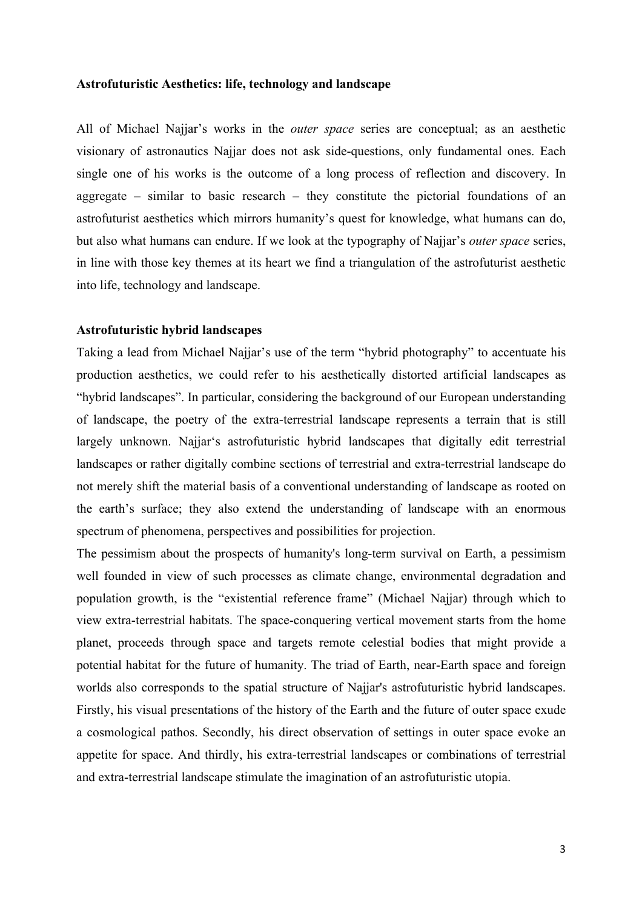#### **Astrofuturistic Aesthetics: life, technology and landscape**

All of Michael Najjar's works in the *outer space* series are conceptual; as an aesthetic visionary of astronautics Najjar does not ask side-questions, only fundamental ones. Each single one of his works is the outcome of a long process of reflection and discovery. In aggregate – similar to basic research – they constitute the pictorial foundations of an astrofuturist aesthetics which mirrors humanity's quest for knowledge, what humans can do, but also what humans can endure. If we look at the typography of Najjar's *outer space* series, in line with those key themes at its heart we find a triangulation of the astrofuturist aesthetic into life, technology and landscape.

#### **Astrofuturistic hybrid landscapes**

Taking a lead from Michael Najjar's use of the term "hybrid photography" to accentuate his production aesthetics, we could refer to his aesthetically distorted artificial landscapes as "hybrid landscapes". In particular, considering the background of our European understanding of landscape, the poetry of the extra-terrestrial landscape represents a terrain that is still largely unknown. Najjar's astrofuturistic hybrid landscapes that digitally edit terrestrial landscapes or rather digitally combine sections of terrestrial and extra-terrestrial landscape do not merely shift the material basis of a conventional understanding of landscape as rooted on the earth's surface; they also extend the understanding of landscape with an enormous spectrum of phenomena, perspectives and possibilities for projection.

The pessimism about the prospects of humanity's long-term survival on Earth, a pessimism well founded in view of such processes as climate change, environmental degradation and population growth, is the "existential reference frame" (Michael Najjar) through which to view extra-terrestrial habitats. The space-conquering vertical movement starts from the home planet, proceeds through space and targets remote celestial bodies that might provide a potential habitat for the future of humanity. The triad of Earth, near-Earth space and foreign worlds also corresponds to the spatial structure of Najjar's astrofuturistic hybrid landscapes. Firstly, his visual presentations of the history of the Earth and the future of outer space exude a cosmological pathos. Secondly, his direct observation of settings in outer space evoke an appetite for space. And thirdly, his extra-terrestrial landscapes or combinations of terrestrial and extra-terrestrial landscape stimulate the imagination of an astrofuturistic utopia.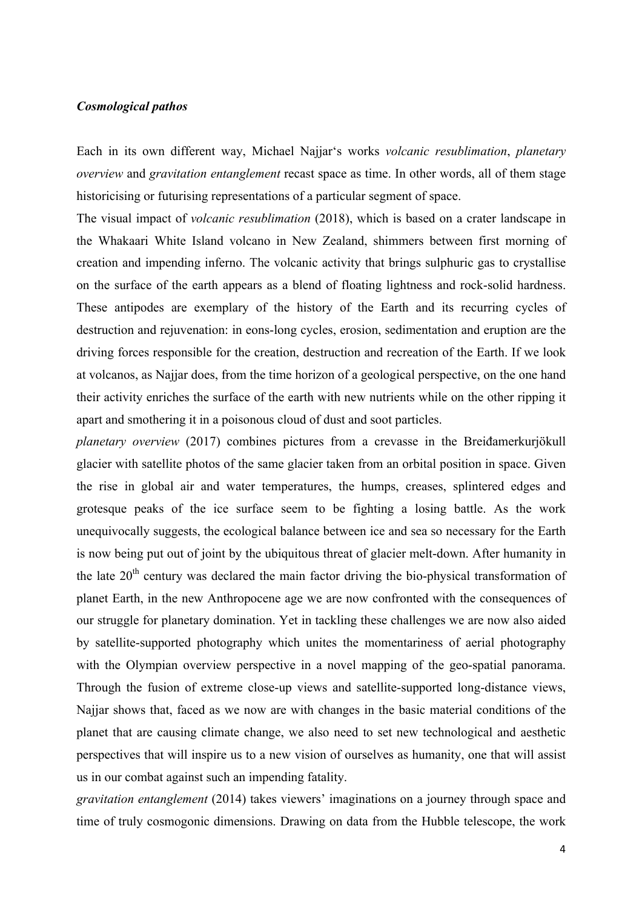## *Cosmological pathos*

Each in its own different way, Michael Najjar's works *volcanic resublimation*, *planetary overview* and *gravitation entanglement* recast space as time. In other words, all of them stage historicising or futurising representations of a particular segment of space.

The visual impact of *volcanic resublimation* (2018), which is based on a crater landscape in the Whakaari White Island volcano in New Zealand, shimmers between first morning of creation and impending inferno. The volcanic activity that brings sulphuric gas to crystallise on the surface of the earth appears as a blend of floating lightness and rock-solid hardness. These antipodes are exemplary of the history of the Earth and its recurring cycles of destruction and rejuvenation: in eons-long cycles, erosion, sedimentation and eruption are the driving forces responsible for the creation, destruction and recreation of the Earth. If we look at volcanos, as Najjar does, from the time horizon of a geological perspective, on the one hand their activity enriches the surface of the earth with new nutrients while on the other ripping it apart and smothering it in a poisonous cloud of dust and soot particles.

*planetary overview* (2017) combines pictures from a crevasse in the Breiđamerkurjökull glacier with satellite photos of the same glacier taken from an orbital position in space. Given the rise in global air and water temperatures, the humps, creases, splintered edges and grotesque peaks of the ice surface seem to be fighting a losing battle. As the work unequivocally suggests, the ecological balance between ice and sea so necessary for the Earth is now being put out of joint by the ubiquitous threat of glacier melt-down. After humanity in the late  $20<sup>th</sup>$  century was declared the main factor driving the bio-physical transformation of planet Earth, in the new Anthropocene age we are now confronted with the consequences of our struggle for planetary domination. Yet in tackling these challenges we are now also aided by satellite-supported photography which unites the momentariness of aerial photography with the Olympian overview perspective in a novel mapping of the geo-spatial panorama. Through the fusion of extreme close-up views and satellite-supported long-distance views, Najjar shows that, faced as we now are with changes in the basic material conditions of the planet that are causing climate change, we also need to set new technological and aesthetic perspectives that will inspire us to a new vision of ourselves as humanity, one that will assist us in our combat against such an impending fatality.

*gravitation entanglement* (2014) takes viewers' imaginations on a journey through space and time of truly cosmogonic dimensions. Drawing on data from the Hubble telescope, the work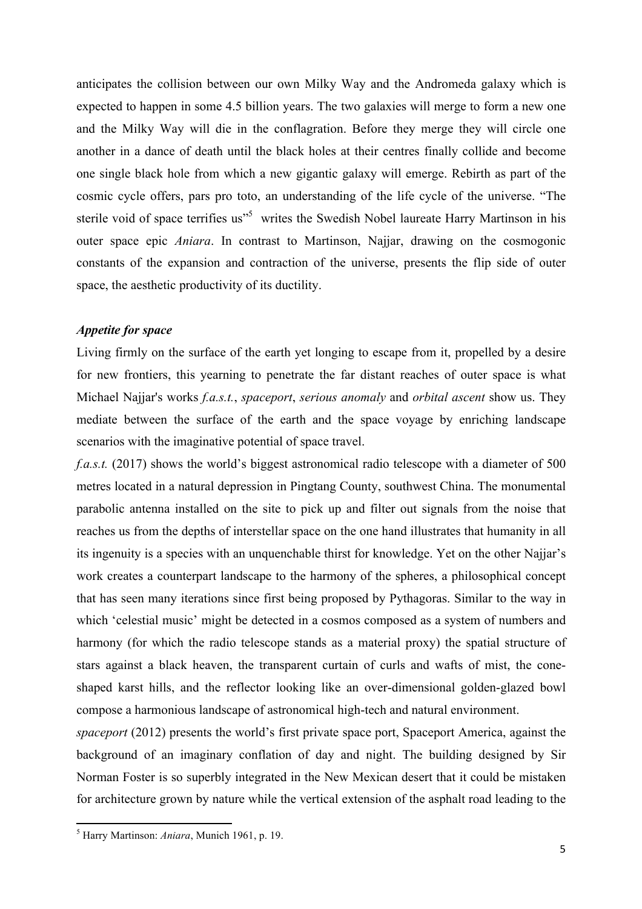anticipates the collision between our own Milky Way and the Andromeda galaxy which is expected to happen in some 4.5 billion years. The two galaxies will merge to form a new one and the Milky Way will die in the conflagration. Before they merge they will circle one another in a dance of death until the black holes at their centres finally collide and become one single black hole from which a new gigantic galaxy will emerge. Rebirth as part of the cosmic cycle offers, pars pro toto, an understanding of the life cycle of the universe. "The sterile void of space terrifies us<sup>55</sup> writes the Swedish Nobel laureate Harry Martinson in his outer space epic *Aniara*. In contrast to Martinson, Najjar, drawing on the cosmogonic constants of the expansion and contraction of the universe, presents the flip side of outer space, the aesthetic productivity of its ductility.

## *Appetite for space*

Living firmly on the surface of the earth yet longing to escape from it, propelled by a desire for new frontiers, this yearning to penetrate the far distant reaches of outer space is what Michael Najjar's works *f.a.s.t.*, *spaceport*, *serious anomaly* and *orbital ascent* show us. They mediate between the surface of the earth and the space voyage by enriching landscape scenarios with the imaginative potential of space travel.

*f.a.s.t.* (2017) shows the world's biggest astronomical radio telescope with a diameter of 500 metres located in a natural depression in Pingtang County, southwest China. The monumental parabolic antenna installed on the site to pick up and filter out signals from the noise that reaches us from the depths of interstellar space on the one hand illustrates that humanity in all its ingenuity is a species with an unquenchable thirst for knowledge. Yet on the other Najjar's work creates a counterpart landscape to the harmony of the spheres, a philosophical concept that has seen many iterations since first being proposed by Pythagoras. Similar to the way in which 'celestial music' might be detected in a cosmos composed as a system of numbers and harmony (for which the radio telescope stands as a material proxy) the spatial structure of stars against a black heaven, the transparent curtain of curls and wafts of mist, the coneshaped karst hills, and the reflector looking like an over-dimensional golden-glazed bowl compose a harmonious landscape of astronomical high-tech and natural environment.

*spaceport* (2012) presents the world's first private space port, Spaceport America, against the background of an imaginary conflation of day and night. The building designed by Sir Norman Foster is so superbly integrated in the New Mexican desert that it could be mistaken for architecture grown by nature while the vertical extension of the asphalt road leading to the

<u> 1989 - Jan Samuel Barbara, margaret e</u>

<sup>5</sup> Harry Martinson: *Aniara*, Munich 1961, p. 19.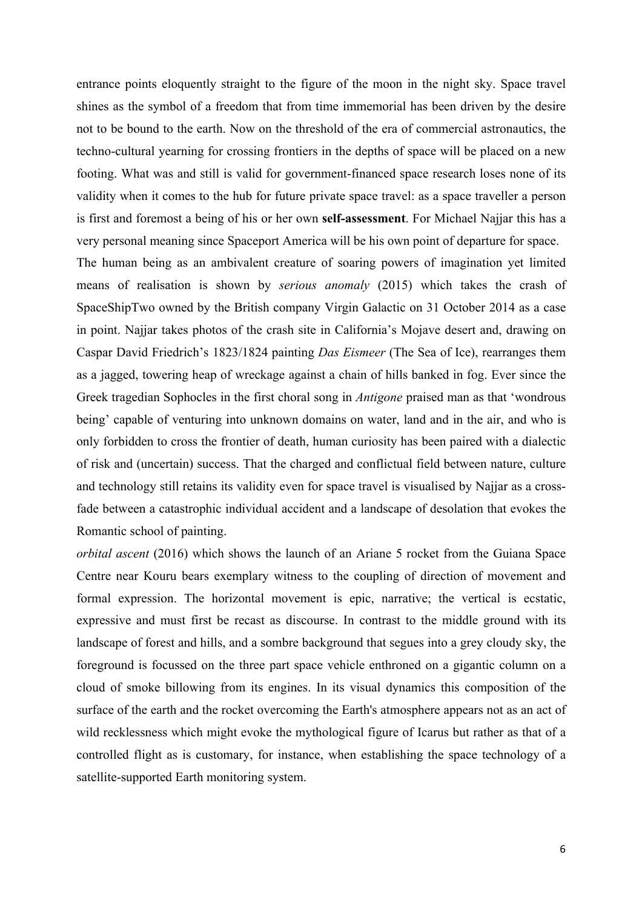entrance points eloquently straight to the figure of the moon in the night sky. Space travel shines as the symbol of a freedom that from time immemorial has been driven by the desire not to be bound to the earth. Now on the threshold of the era of commercial astronautics, the techno-cultural yearning for crossing frontiers in the depths of space will be placed on a new footing. What was and still is valid for government-financed space research loses none of its validity when it comes to the hub for future private space travel: as a space traveller a person is first and foremost a being of his or her own **self-assessment**. For Michael Najjar this has a very personal meaning since Spaceport America will be his own point of departure for space.

The human being as an ambivalent creature of soaring powers of imagination yet limited means of realisation is shown by *serious anomaly* (2015) which takes the crash of SpaceShipTwo owned by the British company Virgin Galactic on 31 October 2014 as a case in point. Najjar takes photos of the crash site in California's Mojave desert and, drawing on Caspar David Friedrich's 1823/1824 painting *Das Eismeer* (The Sea of Ice), rearranges them as a jagged, towering heap of wreckage against a chain of hills banked in fog. Ever since the Greek tragedian Sophocles in the first choral song in *Antigone* praised man as that 'wondrous being' capable of venturing into unknown domains on water, land and in the air, and who is only forbidden to cross the frontier of death, human curiosity has been paired with a dialectic of risk and (uncertain) success. That the charged and conflictual field between nature, culture and technology still retains its validity even for space travel is visualised by Najjar as a crossfade between a catastrophic individual accident and a landscape of desolation that evokes the Romantic school of painting.

*orbital ascent* (2016) which shows the launch of an Ariane 5 rocket from the Guiana Space Centre near Kouru bears exemplary witness to the coupling of direction of movement and formal expression. The horizontal movement is epic, narrative; the vertical is ecstatic, expressive and must first be recast as discourse. In contrast to the middle ground with its landscape of forest and hills, and a sombre background that segues into a grey cloudy sky, the foreground is focussed on the three part space vehicle enthroned on a gigantic column on a cloud of smoke billowing from its engines. In its visual dynamics this composition of the surface of the earth and the rocket overcoming the Earth's atmosphere appears not as an act of wild recklessness which might evoke the mythological figure of Icarus but rather as that of a controlled flight as is customary, for instance, when establishing the space technology of a satellite-supported Earth monitoring system.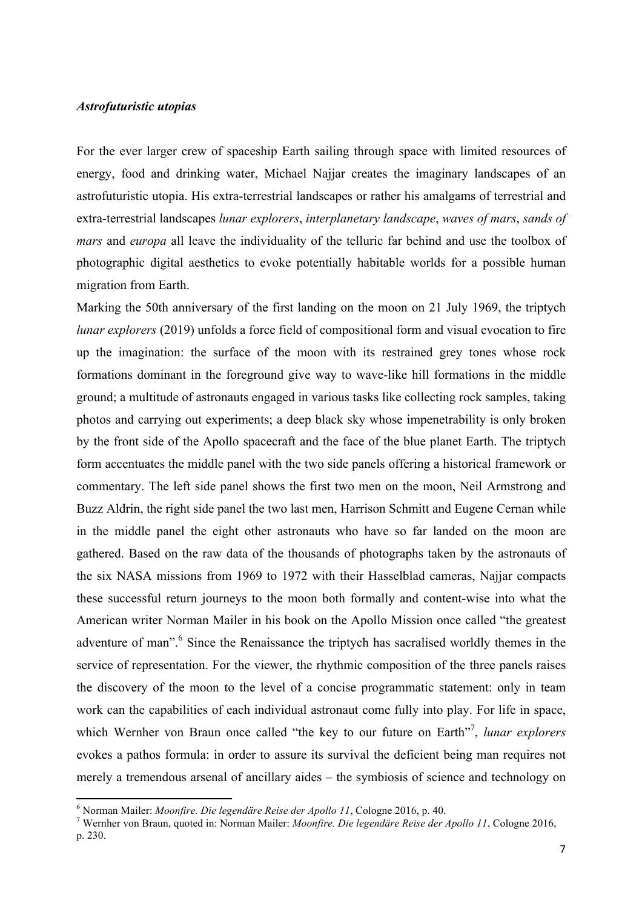## *Astrofuturistic utopias*

For the ever larger crew of spaceship Earth sailing through space with limited resources of energy, food and drinking water, Michael Najjar creates the imaginary landscapes of an astrofuturistic utopia. His extra-terrestrial landscapes or rather his amalgams of terrestrial and extra-terrestrial landscapes *lunar explorers*, *interplanetary landscape*, *waves of mars*, *sands of mars* and *europa* all leave the individuality of the telluric far behind and use the toolbox of photographic digital aesthetics to evoke potentially habitable worlds for a possible human migration from Earth.

Marking the 50th anniversary of the first landing on the moon on 21 July 1969, the triptych *lunar explorers* (2019) unfolds a force field of compositional form and visual evocation to fire up the imagination: the surface of the moon with its restrained grey tones whose rock formations dominant in the foreground give way to wave-like hill formations in the middle ground; a multitude of astronauts engaged in various tasks like collecting rock samples, taking photos and carrying out experiments; a deep black sky whose impenetrability is only broken by the front side of the Apollo spacecraft and the face of the blue planet Earth. The triptych form accentuates the middle panel with the two side panels offering a historical framework or commentary. The left side panel shows the first two men on the moon, Neil Armstrong and Buzz Aldrin, the right side panel the two last men, Harrison Schmitt and Eugene Cernan while in the middle panel the eight other astronauts who have so far landed on the moon are gathered. Based on the raw data of the thousands of photographs taken by the astronauts of the six NASA missions from 1969 to 1972 with their Hasselblad cameras, Najjar compacts these successful return journeys to the moon both formally and content-wise into what the American writer Norman Mailer in his book on the Apollo Mission once called "the greatest adventure of man".<sup>6</sup> Since the Renaissance the triptych has sacralised worldly themes in the service of representation. For the viewer, the rhythmic composition of the three panels raises the discovery of the moon to the level of a concise programmatic statement: only in team work can the capabilities of each individual astronaut come fully into play. For life in space, which Wernher von Braun once called "the key to our future on Earth"<sup>7</sup>, *lunar explorers* evokes a pathos formula: in order to assure its survival the deficient being man requires not merely a tremendous arsenal of ancillary aides – the symbiosis of science and technology on

<u> 1989 - Jan Samuel Barbara, margaret e</u>

<sup>6</sup> Norman Mailer: *Moonfire. Die legendäre Reise der Apollo 11*, Cologne 2016, p. 40. <sup>7</sup> Wernher von Braun, quoted in: Norman Mailer: *Moonfire. Die legendäre Reise der Apollo 11*, Cologne 2016, p. 230.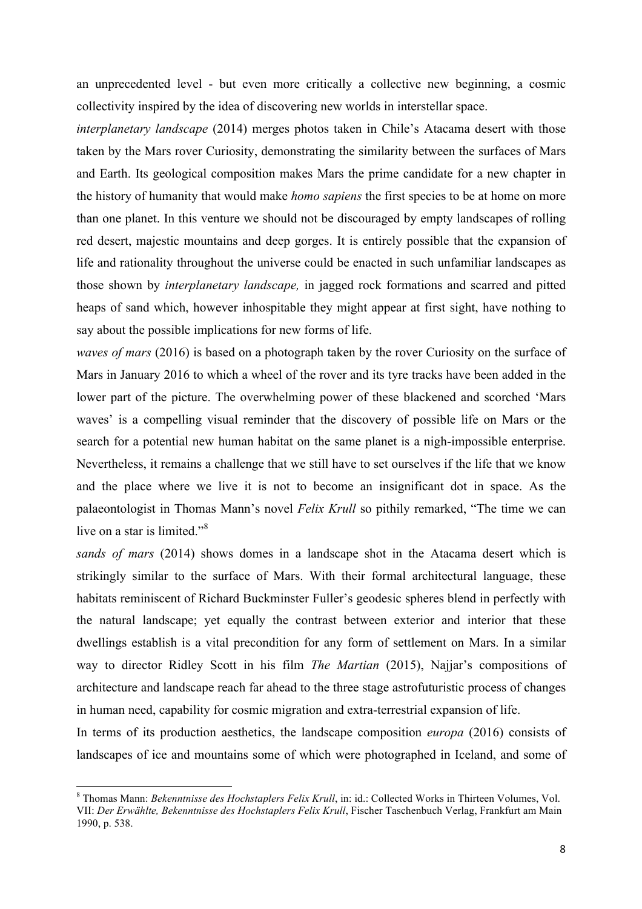an unprecedented level - but even more critically a collective new beginning, a cosmic collectivity inspired by the idea of discovering new worlds in interstellar space.

*interplanetary landscape* (2014) merges photos taken in Chile's Atacama desert with those taken by the Mars rover Curiosity, demonstrating the similarity between the surfaces of Mars and Earth. Its geological composition makes Mars the prime candidate for a new chapter in the history of humanity that would make *homo sapiens* the first species to be at home on more than one planet. In this venture we should not be discouraged by empty landscapes of rolling red desert, majestic mountains and deep gorges. It is entirely possible that the expansion of life and rationality throughout the universe could be enacted in such unfamiliar landscapes as those shown by *interplanetary landscape,* in jagged rock formations and scarred and pitted heaps of sand which, however inhospitable they might appear at first sight, have nothing to say about the possible implications for new forms of life.

*waves of mars* (2016) is based on a photograph taken by the rover Curiosity on the surface of Mars in January 2016 to which a wheel of the rover and its tyre tracks have been added in the lower part of the picture. The overwhelming power of these blackened and scorched 'Mars waves' is a compelling visual reminder that the discovery of possible life on Mars or the search for a potential new human habitat on the same planet is a nigh-impossible enterprise. Nevertheless, it remains a challenge that we still have to set ourselves if the life that we know and the place where we live it is not to become an insignificant dot in space. As the palaeontologist in Thomas Mann's novel *Felix Krull* so pithily remarked, "The time we can live on a star is limited.<sup>38</sup>

*sands of mars* (2014) shows domes in a landscape shot in the Atacama desert which is strikingly similar to the surface of Mars. With their formal architectural language, these habitats reminiscent of Richard Buckminster Fuller's geodesic spheres blend in perfectly with the natural landscape; yet equally the contrast between exterior and interior that these dwellings establish is a vital precondition for any form of settlement on Mars. In a similar way to director Ridley Scott in his film *The Martian* (2015), Najjar's compositions of architecture and landscape reach far ahead to the three stage astrofuturistic process of changes in human need, capability for cosmic migration and extra-terrestrial expansion of life.

In terms of its production aesthetics, the landscape composition *europa* (2016) consists of landscapes of ice and mountains some of which were photographed in Iceland, and some of

<u> 1989 - Jan Samuel Barbara, margaret e</u>

<sup>8</sup> Thomas Mann: *Bekenntnisse des Hochstaplers Felix Krull*, in: id.: Collected Works in Thirteen Volumes, Vol. VII: *Der Erwählte, Bekenntnisse des Hochstaplers Felix Krull*, Fischer Taschenbuch Verlag, Frankfurt am Main 1990, p. 538.